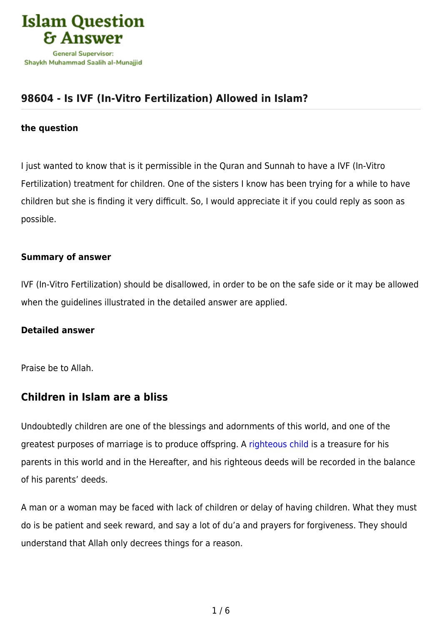

# **[98604 - Is IVF \(In-Vitro Fertilization\) Allowed in Islam?](https://islamqa.com/en/answers/98604/is-ivf-in-vitro-fertilization-allowed-in-islam)**

#### **the question**

I just wanted to know that is it permissible in the Quran and Sunnah to have a IVF (In-Vitro Fertilization) treatment for children. One of the sisters I know has been trying for a while to have children but she is finding it very difficult. So, I would appreciate it if you could reply as soon as possible.

#### **Summary of answer**

IVF (In-Vitro Fertilization) should be disallowed, in order to be on the safe side or it may be allowed when the guidelines illustrated in the detailed answer are applied.

### **Detailed answer**

Praise be to Allah.

### **Children in Islam are a bliss**

Undoubtedly children are one of the blessings and adornments of this world, and one of the greatest purposes of marriage is to produce offspring. A [righteous child](https://islamqa.com/en/answers/10016) is a treasure for his parents in this world and in the Hereafter, and his righteous deeds will be recorded in the balance of his parents' deeds.

A man or a woman may be faced with lack of children or delay of having children. What they must do is be patient and seek reward, and say a lot of du'a and prayers for forgiveness. They should understand that Allah only decrees things for a reason.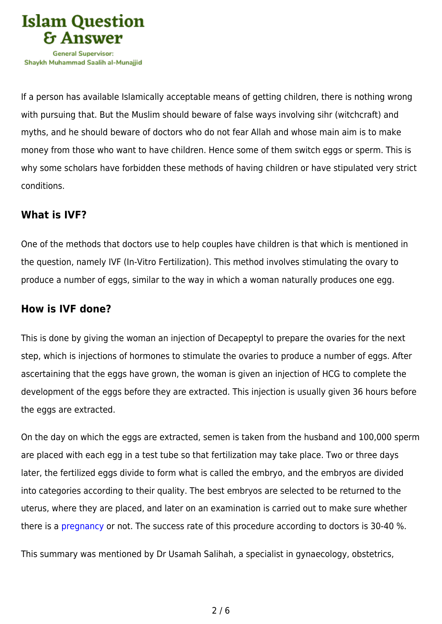

If a person has available Islamically acceptable means of getting children, there is nothing wrong with pursuing that. But the Muslim should beware of false ways involving sihr (witchcraft) and myths, and he should beware of doctors who do not fear Allah and whose main aim is to make money from those who want to have children. Hence some of them switch eggs or sperm. This is why some scholars have forbidden these methods of having children or have stipulated very strict conditions.

### **What is IVF?**

One of the methods that doctors use to help couples have children is that which is mentioned in the question, namely IVF (In-Vitro Fertilization). This method involves stimulating the ovary to produce a number of eggs, similar to the way in which a woman naturally produces one egg.

## **How is IVF done?**

This is done by giving the woman an injection of Decapeptyl to prepare the ovaries for the next step, which is injections of hormones to stimulate the ovaries to produce a number of eggs. After ascertaining that the eggs have grown, the woman is given an injection of HCG to complete the development of the eggs before they are extracted. This injection is usually given 36 hours before the eggs are extracted.

On the day on which the eggs are extracted, semen is taken from the husband and 100,000 sperm are placed with each egg in a test tube so that fertilization may take place. Two or three days later, the fertilized eggs divide to form what is called the embryo, and the embryos are divided into categories according to their quality. The best embryos are selected to be returned to the uterus, where they are placed, and later on an examination is carried out to make sure whether there is a [pregnancy](https://islamqa.com/en/answers/10016) or not. The success rate of this procedure according to doctors is 30-40 %.

This summary was mentioned by Dr Usamah Salihah, a specialist in gynaecology, obstetrics,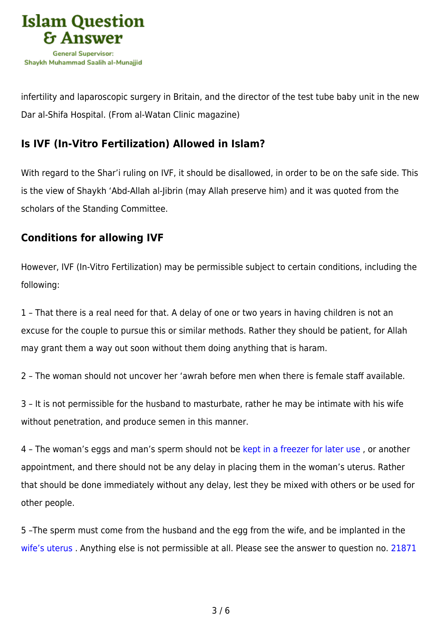

infertility and laparoscopic surgery in Britain, and the director of the test tube baby unit in the new Dar al-Shifa Hospital. (From al-Watan Clinic magazine)

# **Is IVF (In-Vitro Fertilization) Allowed in Islam?**

With regard to the Shar'i ruling on IVF, it should be disallowed, in order to be on the safe side. This is the view of Shaykh 'Abd-Allah al-Jibrin (may Allah preserve him) and it was quoted from the scholars of the Standing Committee.

## **Conditions for allowing IVF**

However, IVF (In-Vitro Fertilization) may be permissible subject to certain conditions, including the following:

1 – That there is a real need for that. A delay of one or two years in having children is not an excuse for the couple to pursue this or similar methods. Rather they should be patient, for Allah may grant them a way out soon without them doing anything that is haram.

2 – The woman should not uncover her 'awrah before men when there is female staff available.

3 – It is not permissible for the husband to masturbate, rather he may be intimate with his wife without penetration, and produce semen in this manner.

4 – The woman's eggs and man's sperm should not be [kept in a freezer for later use](https://islamqa.com/en/answers/117933) , or another appointment, and there should not be any delay in placing them in the woman's uterus. Rather that should be done immediately without any delay, lest they be mixed with others or be used for other people.

5 –The sperm must come from the husband and the egg from the wife, and be implanted in the [wife's uterus](https://islamqa.com/en/answers/14001) . Anything else is not permissible at all. Please see the answer to question no. [21871](https://islamqa.com/en/answers/21871)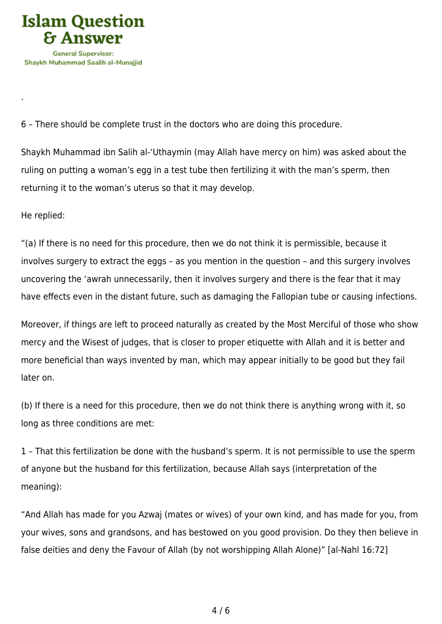

6 – There should be complete trust in the doctors who are doing this procedure.

Shaykh Muhammad ibn Salih al-'Uthaymin (may Allah have mercy on him) was asked about the ruling on putting a woman's egg in a test tube then fertilizing it with the man's sperm, then returning it to the woman's uterus so that it may develop.

He replied:

.

"(a) If there is no need for this procedure, then we do not think it is permissible, because it involves surgery to extract the eggs – as you mention in the question – and this surgery involves uncovering the 'awrah unnecessarily, then it involves surgery and there is the fear that it may have effects even in the distant future, such as damaging the Fallopian tube or causing infections.

Moreover, if things are left to proceed naturally as created by the Most Merciful of those who show mercy and the Wisest of judges, that is closer to proper etiquette with Allah and it is better and more beneficial than ways invented by man, which may appear initially to be good but they fail later on.

(b) If there is a need for this procedure, then we do not think there is anything wrong with it, so long as three conditions are met:

1 – That this fertilization be done with the husband's sperm. It is not permissible to use the sperm of anyone but the husband for this fertilization, because Allah says (interpretation of the meaning):

"And Allah has made for you Azwaj (mates or wives) of your own kind, and has made for you, from your wives, sons and grandsons, and has bestowed on you good provision. Do they then believe in false deities and deny the Favour of Allah (by not worshipping Allah Alone)" [al-Nahl 16:72]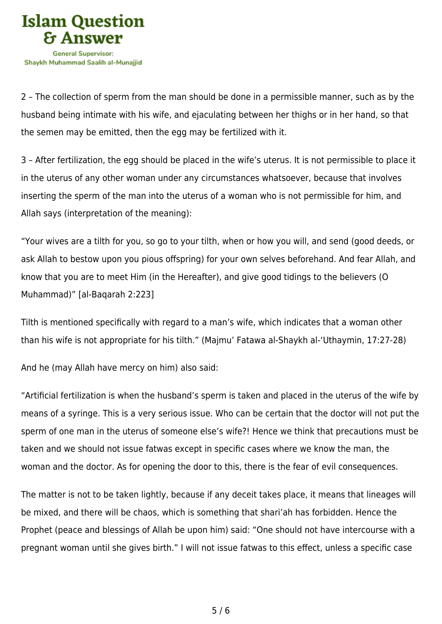

2 – The collection of sperm from the man should be done in a permissible manner, such as by the husband being intimate with his wife, and ejaculating between her thighs or in her hand, so that the semen may be emitted, then the egg may be fertilized with it.

3 – After fertilization, the egg should be placed in the wife's uterus. It is not permissible to place it in the uterus of any other woman under any circumstances whatsoever, because that involves inserting the sperm of the man into the uterus of a woman who is not permissible for him, and Allah says (interpretation of the meaning):

"Your wives are a tilth for you, so go to your tilth, when or how you will, and send (good deeds, or ask Allah to bestow upon you pious offspring) for your own selves beforehand. And fear Allah, and know that you are to meet Him (in the Hereafter), and give good tidings to the believers (O Muhammad)" [al-Baqarah 2:223]

Tilth is mentioned specifically with regard to a man's wife, which indicates that a woman other than his wife is not appropriate for his tilth." (Majmu' Fatawa al-Shaykh al-'Uthaymin, 17:27-28)

And he (may Allah have mercy on him) also said:

"Artificial fertilization is when the husband's sperm is taken and placed in the uterus of the wife by means of a syringe. This is a very serious issue. Who can be certain that the doctor will not put the sperm of one man in the uterus of someone else's wife?! Hence we think that precautions must be taken and we should not issue fatwas except in specific cases where we know the man, the woman and the doctor. As for opening the door to this, there is the fear of evil consequences.

The matter is not to be taken lightly, because if any deceit takes place, it means that lineages will be mixed, and there will be chaos, which is something that shari'ah has forbidden. Hence the Prophet (peace and blessings of Allah be upon him) said: "One should not have intercourse with a pregnant woman until she gives birth." I will not issue fatwas to this effect, unless a specific case